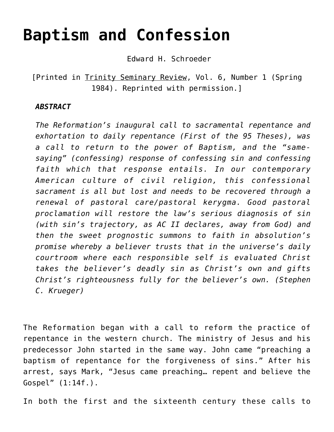# **[Baptism and Confession](https://crossings.org/baptism-and-confession/)**

Edward H. Schroeder

[Printed in Trinity Seminary Review, Vol. 6, Number 1 (Spring 1984). Reprinted with permission.]

#### *ABSTRACT*

*The Reformation's inaugural call to sacramental repentance and exhortation to daily repentance (First of the 95 Theses), was a call to return to the power of Baptism, and the "samesaying" (confessing) response of confessing sin and confessing faith which that response entails. In our contemporary American culture of civil religion, this confessional sacrament is all but lost and needs to be recovered through a renewal of pastoral care/pastoral kerygma. Good pastoral proclamation will restore the law's serious diagnosis of sin (with sin's trajectory, as AC II declares, away from God) and then the sweet prognostic summons to faith in absolution's promise whereby a believer trusts that in the universe's daily courtroom where each responsible self is evaluated Christ takes the believer's deadly sin as Christ's own and gifts Christ's righteousness fully for the believer's own. (Stephen C. Krueger)*

The Reformation began with a call to reform the practice of repentance in the western church. The ministry of Jesus and his predecessor John started in the same way. John came "preaching a baptism of repentance for the forgiveness of sins." After his arrest, says Mark, "Jesus came preaching… repent and believe the Gospel" (1:14f.).

In both the first and the sixteenth century these calls to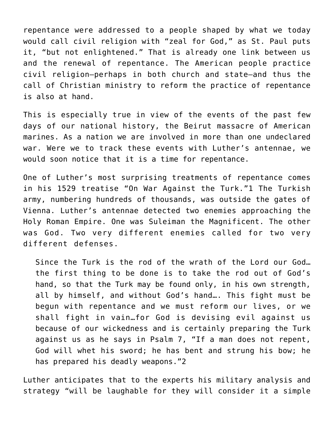repentance were addressed to a people shaped by what we today would call civil religion with "zeal for God," as St. Paul puts it, "but not enlightened." That is already one link between us and the renewal of repentance. The American people practice civil religion–perhaps in both church and state–and thus the call of Christian ministry to reform the practice of repentance is also at hand.

This is especially true in view of the events of the past few days of our national history, the Beirut massacre of American marines. As a nation we are involved in more than one undeclared war. Were we to track these events with Luther's antennae, we would soon notice that it is a time for repentance.

One of Luther's most surprising treatments of repentance comes in his 1529 treatise "On War Against the Turk."1 The Turkish army, numbering hundreds of thousands, was outside the gates of Vienna. Luther's antennae detected two enemies approaching the Holy Roman Empire. One was Suleiman the Magnificent. The other was God. Two very different enemies called for two very different defenses.

Since the Turk is the rod of the wrath of the Lord our God… the first thing to be done is to take the rod out of God's hand, so that the Turk may be found only, in his own strength, all by himself, and without God's hand…. This fight must be begun with repentance and we must reform our lives, or we shall fight in vain…for God is devising evil against us because of our wickedness and is certainly preparing the Turk against us as he says in Psalm 7, "If a man does not repent, God will whet his sword; he has bent and strung his bow; he has prepared his deadly weapons."2

Luther anticipates that to the experts his military analysis and strategy "will be laughable for they will consider it a simple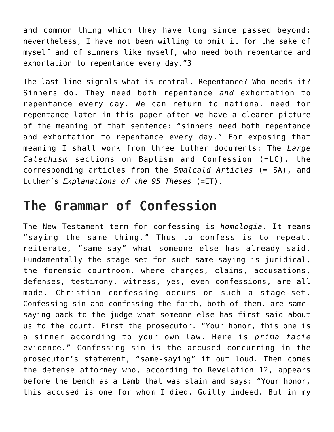and common thing which they have long since passed beyond; nevertheless, I have not been willing to omit it for the sake of myself and of sinners like myself, who need both repentance and exhortation to repentance every day."3

The last line signals what is central. Repentance? Who needs it? Sinners do. They need both repentance *and* exhortation to repentance every day. We can return to national need for repentance later in this paper after we have a clearer picture of the meaning of that sentence: "sinners need both repentance and exhortation to repentance every day." For exposing that meaning I shall work from three Luther documents: The *Large Catechism* sections on Baptism and Confession (=LC), the corresponding articles from the *Smalcald Articles* (= SA), and Luther's *Explanations of the 95 Theses* (=ET).

### **The Grammar of Confession**

The New Testament term for confessing is *homologia*. It means "saying the same thing." Thus to confess is to repeat, reiterate, "same-say" what someone else has already said. Fundamentally the stage-set for such same-saying is juridical, the forensic courtroom, where charges, claims, accusations, defenses, testimony, witness, yes, even confessions, are all made. Christian confessing occurs on such a stage-set. Confessing sin and confessing the faith, both of them, are samesaying back to the judge what someone else has first said about us to the court. First the prosecutor. "Your honor, this one is a sinner according to your own law. Here is *prima facie* evidence." Confessing sin is the accused concurring in the prosecutor's statement, "same-saying" it out loud. Then comes the defense attorney who, according to Revelation 12, appears before the bench as a Lamb that was slain and says: "Your honor, this accused is one for whom I died. Guilty indeed. But in my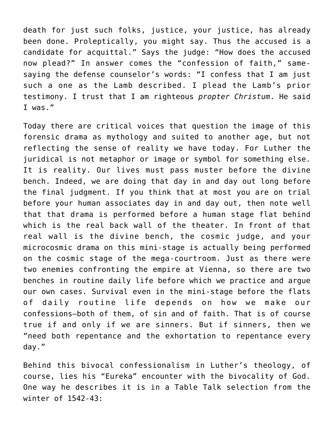death for just such folks, justice, your justice, has already been done. Proleptically, you might say. Thus the accused is a candidate for acquittal." Says the judge: "How does the accused now plead?" In answer comes the "confession of faith," samesaying the defense counselor's words: "I confess that I am just such a one as the Lamb described. I plead the Lamb's prior testimony. I trust that I am righteous *propter Christum*. He said I was."

Today there are critical voices that question the image of this forensic drama as mythology and suited to another age, but not reflecting the sense of reality we have today. For Luther the juridical is not metaphor or image or symbol for something else. It is reality. Our lives must pass muster before the divine bench. Indeed, we are doing that day in and day out long before the final judgment. If you think that at most you are on trial before your human associates day in and day out, then note well that that drama is performed before a human stage flat behind which is the real back wall of the theater. In front of that real wall is the divine bench, the cosmic judge, and your microcosmic drama on this mini-stage is actually being performed on the cosmic stage of the mega-courtroom. Just as there were two enemies confronting the empire at Vienna, so there are two benches in routine daily life before which we practice and argue our own cases. Survival even in the mini-stage before the flats of daily routine life depends on how we make our confessions–both of them, of sin and of faith. That is of course true if and only if we are sinners. But if sinners, then we "need both repentance and the exhortation to repentance every day."

Behind this bivocal confessionalism in Luther's theology, of course, lies his "Eureka" encounter with the bivocality of God. One way he describes it is in a Table Talk selection from the winter of 1542-43: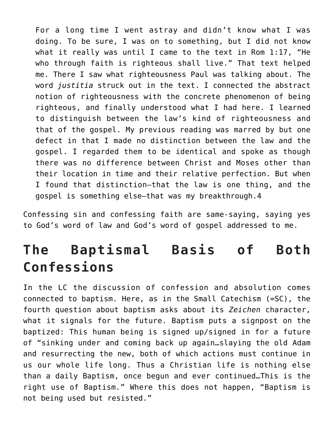For a long time I went astray and didn't know what I was doing. To be sure, I was on to something, but I did not know what it really was until I came to the text in Rom 1:17, "He who through faith is righteous shall live." That text helped me. There I saw what righteousness Paul was talking about. The word *justitia* struck out in the text. I connected the abstract notion of righteousness with the concrete phenomenon of being righteous, and finally understood what I had here. I learned to distinguish between the law's kind of righteousness and that of the gospel. My previous reading was marred by but one defect in that I made no distinction between the law and the gospel. I regarded them to be identical and spoke as though there was no difference between Christ and Moses other than their location in time and their relative perfection. But when I found that distinction—that the law is one thing, and the gospel is something else–that was my breakthrough.4

Confessing sin and confessing faith are same-saying, saying yes to God's word of law and God's word of gospel addressed to me.

### **The Baptismal Basis of Both Confessions**

In the LC the discussion of confession and absolution comes connected to baptism. Here, as in the Small Catechism (=SC), the fourth question about baptism asks about its *Zeichen* character, what it signals for the future. Baptism puts a signpost on the baptized: This human being is signed up/signed in for a future of "sinking under and coming back up again…slaying the old Adam and resurrecting the new, both of which actions must continue in us our whole life long. Thus a Christian life is nothing else than a daily Baptism, once begun and ever continued…This is the right use of Baptism." Where this does not happen, "Baptism is not being used but resisted."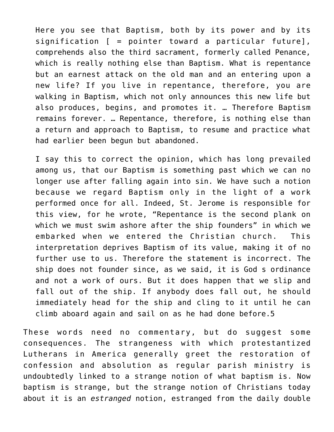Here you see that Baptism, both by its power and by its signification [ = pointer toward a particular future], comprehends also the third sacrament, formerly called Penance, which is really nothing else than Baptism. What is repentance but an earnest attack on the old man and an entering upon a new life? If you live in repentance, therefore, you are walking in Baptism, which not only announces this new life but also produces, begins, and promotes it. … Therefore Baptism remains forever. … Repentance, therefore, is nothing else than a return and approach to Baptism, to resume and practice what had earlier been begun but abandoned.

I say this to correct the opinion, which has long prevailed among us, that our Baptism is something past which we can no longer use after falling again into sin. We have such a notion because we regard Baptism only in the light of a work performed once for all. Indeed, St. Jerome is responsible for this view, for he wrote, "Repentance is the second plank on which we must swim ashore after the ship founders" in which we embarked when we entered the Christian church. This interpretation deprives Baptism of its value, making it of no further use to us. Therefore the statement is incorrect. The ship does not founder since, as we said, it is God s ordinance and not a work of ours. But it does happen that we slip and fall out of the ship. If anybody does fall out, he should immediately head for the ship and cling to it until he can climb aboard again and sail on as he had done before.5

These words need no commentary, but do suggest some consequences. The strangeness with which protestantized Lutherans in America generally greet the restoration of confession and absolution as regular parish ministry is undoubtedly linked to a strange notion of what baptism is. Now baptism is strange, but the strange notion of Christians today about it is an *estranged* notion, estranged from the daily double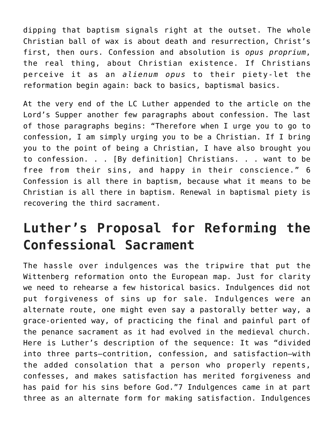dipping that baptism signals right at the outset. The whole Christian ball of wax is about death and resurrection, Christ's first, then ours. Confession and absolution is *opus proprium*, the real thing, about Christian existence. If Christians perceive it as an *alienum opus* to their piety-let the reformation begin again: back to basics, baptismal basics.

At the very end of the LC Luther appended to the article on the Lord's Supper another few paragraphs about confession. The last of those paragraphs begins: "Therefore when I urge you to go to confession, I am simply urging you to be a Christian. If I bring you to the point of being a Christian, I have also brought you to confession. . . [By definition] Christians. . . want to be free from their sins, and happy in their conscience." 6 Confession is all there in baptism, because what it means to be Christian is all there in baptism. Renewal in baptismal piety is recovering the third sacrament.

## **Luther's Proposal for Reforming the Confessional Sacrament**

The hassle over indulgences was the tripwire that put the Wittenberg reformation onto the European map. Just for clarity we need to rehearse a few historical basics. Indulgences did not put forgiveness of sins up for sale. Indulgences were an alternate route, one might even say a pastorally better way, a grace-oriented way, of practicing the final and painful part of the penance sacrament as it had evolved in the medieval church. Here is Luther's description of the sequence: It was "divided into three parts–contrition, confession, and satisfaction–with the added consolation that a person who properly repents, confesses, and makes satisfaction has merited forgiveness and has paid for his sins before God."7 Indulgences came in at part three as an alternate form for making satisfaction. Indulgences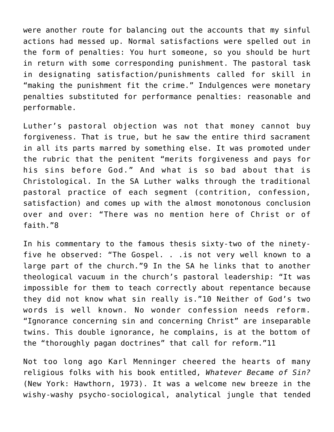were another route for balancing out the accounts that my sinful actions had messed up. Normal satisfactions were spelled out in the form of penalties: You hurt someone, so you should be hurt in return with some corresponding punishment. The pastoral task in designating satisfaction/punishments called for skill in "making the punishment fit the crime." Indulgences were monetary penalties substituted for performance penalties: reasonable and performable.

Luther's pastoral objection was not that money cannot buy forgiveness. That is true, but he saw the entire third sacrament in all its parts marred by something else. It was promoted under the rubric that the penitent "merits forgiveness and pays for his sins before God." And what is so bad about that is Christological. In the SA Luther walks through the traditional pastoral practice of each segment (contrition, confession, satisfaction) and comes up with the almost monotonous conclusion over and over: "There was no mention here of Christ or of faith."8

In his commentary to the famous thesis sixty-two of the ninetyfive he observed: "The Gospel. . .is not very well known to a large part of the church."9 In the SA he links that to another theological vacuum in the church's pastoral leadership: "It was impossible for them to teach correctly about repentance because they did not know what sin really is."10 Neither of God's two words is well known. No wonder confession needs reform. "Ignorance concerning sin and concerning Christ" are inseparable twins. This double ignorance, he complains, is at the bottom of the "thoroughly pagan doctrines" that call for reform."11

Not too long ago Karl Menninger cheered the hearts of many religious folks with his book entitled, *Whatever Became of Sin?* (New York: Hawthorn, 1973). It was a welcome new breeze in the wishy-washy psycho-sociological, analytical jungle that tended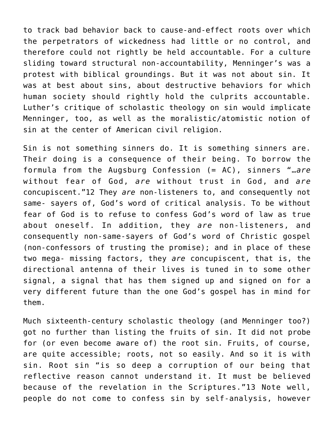to track bad behavior back to cause-and-effect roots over which the perpetrators of wickedness had little or no control, and therefore could not rightly be held accountable. For a culture sliding toward structural non-accountability, Menninger's was a protest with biblical groundings. But it was not about sin. It was at best about sins, about destructive behaviors for which human society should rightly hold the culprits accountable. Luther's critique of scholastic theology on sin would implicate Menninger, too, as well as the moralistic/atomistic notion of sin at the center of American civil religion.

Sin is not something sinners do. It is something sinners are. Their doing is a consequence of their being. To borrow the formula from the Augsburg Confession (= AC), sinners "…*are* without fear of God, *are* without trust in God, and *are* concupiscent."12 They *are* non-listeners to, and consequently not same- sayers of, God's word of critical analysis. To be without fear of God is to refuse to confess God's word of law as true about oneself. In addition, they *are* non-listeners, and consequently non-same-sayers of God's word of Christic gospel (non-confessors of trusting the promise); and in place of these two mega- missing factors, they *are* concupiscent, that is, the directional antenna of their lives is tuned in to some other signal, a signal that has them signed up and signed on for a very different future than the one God's gospel has in mind for them.

Much sixteenth-century scholastic theology (and Menninger too?) got no further than listing the fruits of sin. It did not probe for (or even become aware of) the root sin. Fruits, of course, are quite accessible; roots, not so easily. And so it is with sin. Root sin "is so deep a corruption of our being that reflective reason cannot understand it. It must be believed because of the revelation in the Scriptures."13 Note well, people do not come to confess sin by self-analysis, however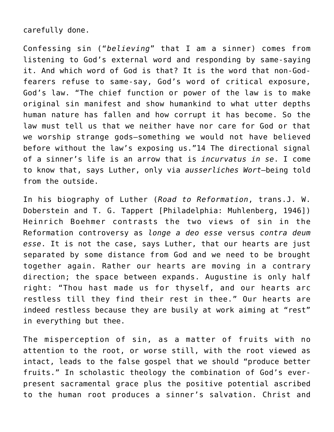#### carefully done.

Confessing sin ("*believing*" that I am a sinner) comes from listening to God's external word and responding by same-saying it. And which word of God is that? It is the word that non-Godfearers refuse to same-say, God's word of critical exposure, God's law. "The chief function or power of the law is to make original sin manifest and show humankind to what utter depths human nature has fallen and how corrupt it has become. So the law must tell us that we neither have nor care for God or that we worship strange gods–something we would not have believed before without the law's exposing us."14 The directional signal of a sinner's life is an arrow that is *incurvatus in se*. I come to know that, says Luther, only via *ausserliches Wort*–being told from the outside.

In his biography of Luther (*Road to Reformation*, trans.J. W. Doberstein and T. G. Tappert [Philadelphia: Muhlenberg, 1946]) Heinrich Boehmer contrasts the two views of sin in the Reformation controversy as *longe a deo esse* versus *contra deum esse*. It is not the case, says Luther, that our hearts are just separated by some distance from God and we need to be brought together again. Rather our hearts are moving in a contrary direction; the space between expands. Augustine is only half right: "Thou hast made us for thyself, and our hearts arc restless till they find their rest in thee." Our hearts are indeed restless because they are busily at work aiming at "rest" in everything but thee.

The misperception of sin, as a matter of fruits with no attention to the root, or worse still, with the root viewed as intact, leads to the false gospel that we should "produce better fruits." In scholastic theology the combination of God's everpresent sacramental grace plus the positive potential ascribed to the human root produces a sinner's salvation. Christ and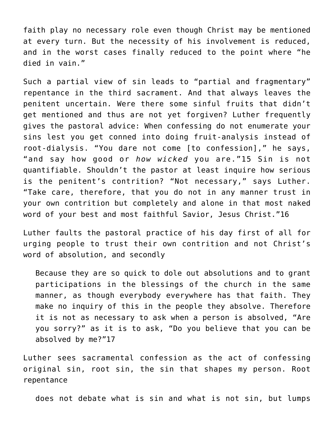faith play no necessary role even though Christ may be mentioned at every turn. But the necessity of his involvement is reduced, and in the worst cases finally reduced to the point where "he died in vain."

Such a partial view of sin leads to "partial and fragmentary" repentance in the third sacrament. And that always leaves the penitent uncertain. Were there some sinful fruits that didn't get mentioned and thus are not yet forgiven? Luther frequently gives the pastoral advice: When confessing do not enumerate your sins lest you get conned into doing fruit-analysis instead of root-dialysis. "You dare not come [to confession]," he says, "and say how good or *how wicked* you are."15 Sin is not quantifiable. Shouldn't the pastor at least inquire how serious is the penitent's contrition? "Not necessary," says Luther. "Take care, therefore, that you do not in any manner trust in your own contrition but completely and alone in that most naked word of your best and most faithful Savior, Jesus Christ."16

Luther faults the pastoral practice of his day first of all for urging people to trust their own contrition and not Christ's word of absolution, and secondly

Because they are so quick to dole out absolutions and to grant participations in the blessings of the church in the same manner, as though everybody everywhere has that faith. They make no inquiry of this in the people they absolve. Therefore it is not as necessary to ask when a person is absolved, "Are you sorry?" as it is to ask, "Do you believe that you can be absolved by me?"17

Luther sees sacramental confession as the act of confessing original sin, root sin, the sin that shapes my person. Root repentance

does not debate what is sin and what is not sin, but lumps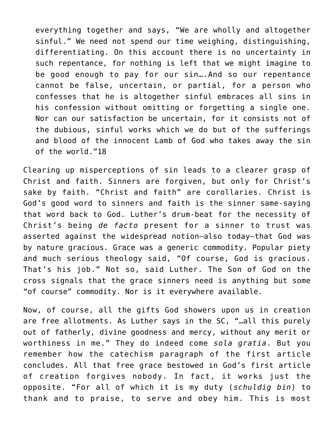everything together and says, "We are wholly and altogether sinful." We need not spend our time weighing, distinguishing, differentiating. On this account there is no uncertainty in such repentance, for nothing is left that we might imagine to be good enough to pay for our sin….And so our repentance cannot be false, uncertain, or partial, for a person who confesses that he is altogether sinful embraces all sins in his confession without omitting or forgetting a single one. Nor can our satisfaction be uncertain, for it consists not of the dubious, sinful works which we do but of the sufferings and blood of the innocent Lamb of God who takes away the sin of the world."18

Clearing up misperceptions of sin leads to a clearer grasp of Christ and faith. Sinners are forgiven, but only for Christ's sake by faith. "Christ and faith" are corollaries. Christ is God's good word to sinners and faith is the sinner same-saying that word back to God. Luther's drum-beat for the necessity of Christ's being *de facto* present for a sinner to trust was asserted against the widespread notion—also today—that God was by nature gracious. Grace was a generic commodity. Popular piety and much serious theology said, "Of course, God is gracious. That's his job." Not so, said Luther. The Son of God on the cross signals that the grace sinners need is anything but some "of course" commodity. Nor is it everywhere available.

Now, of course, all the gifts God showers upon us in creation are free allotments. As Luther says in the SC, "…all this purely out of fatherly, divine goodness and mercy, without any merit or worthiness in me." They do indeed come *sola gratia*. But you remember how the catechism paragraph of the first article concludes. All that free grace bestowed in God's first article of creation forgives nobody. In fact, it works just the opposite. "For all of which it is my duty (*schuldig bin*) to thank and to praise, to serve and obey him. This is most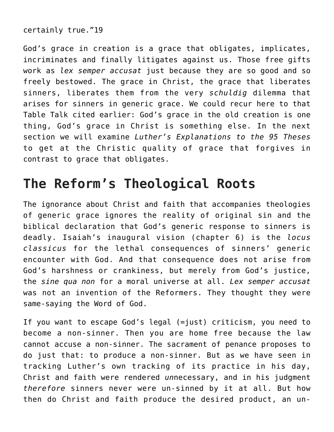certainly true."19

God's grace in creation is a grace that obligates, implicates, incriminates and finally litigates against us. Those free gifts work as *lex semper accusat* just because they are so good and so freely bestowed. The grace in Christ, the grace that liberates sinners, liberates them from the very *schuldig* dilemma that arises for sinners in generic grace. We could recur here to that Table Talk cited earlier: God's grace in the old creation is one thing, God's grace in Christ is something else. In the next section we will examine *Luther's Explanations to the 95 Theses* to get at the Christic quality of grace that forgives in contrast to grace that obligates.

### **The Reform's Theological Roots**

The ignorance about Christ and faith that accompanies theologies of generic grace ignores the reality of original sin and the biblical declaration that God's generic response to sinners is deadly. Isaiah's inaugural vision (chapter 6) is the *locus classicus* for the lethal consequences of sinners' generic encounter with God. And that consequence does not arise from God's harshness or crankiness, but merely from God's justice, the *sine qua non* for a moral universe at all. *Lex semper accusat* was not an invention of the Reformers. They thought they were same-saying the Word of God.

If you want to escape God's legal (=just) criticism, you need to become a non-sinner. Then you are home free because the law cannot accuse a non-sinner. The sacrament of penance proposes to do just that: to produce a non-sinner. But as we have seen in tracking Luther's own tracking of its practice in his day, Christ and faith were rendered *un*necessary, and in his judgment *therefore* sinners never were un-sinned by it at all. But how then do Christ and faith produce the desired product, an un-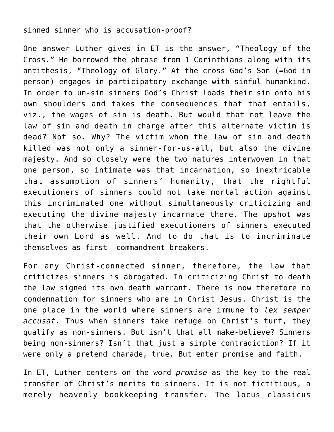#### sinned sinner who is accusation-proof?

One answer Luther gives in ET is the answer, "Theology of the Cross." He borrowed the phrase from 1 Corinthians along with its antithesis, "Theology of Glory." At the cross God's Son (=God in person) engages in participatory exchange with sinful humankind. In order to un-sin sinners God's Christ loads their sin onto his own shoulders and takes the consequences that that entails, viz., the wages of sin is death. But would that not leave the law of sin and death in charge after this alternate victim is dead? Not so. Why? The victim whom the law of sin and death killed was not only a sinner-for-us-all, but also the divine majesty. And so closely were the two natures interwoven in that one person, so intimate was that incarnation, so inextricable that assumption of sinners' humanity, that the rightful executioners of sinners could not take mortal action against this incriminated one without simultaneously criticizing and executing the divine majesty incarnate there. The upshot was that the otherwise justified executioners of sinners executed their own Lord as well. And to do that is to incriminate themselves as first- commandment breakers.

For any Christ-connected sinner, therefore, the law that criticizes sinners is abrogated. In criticizing Christ to death the law signed its own death warrant. There is now therefore no condemnation for sinners who are in Christ Jesus. Christ is the one place in the world where sinners are immune to *lex semper accusat*. Thus when sinners take refuge on Christ's turf, they qualify as non-sinners. But isn't that all make-believe? Sinners being non-sinners? Isn't that just a simple contradiction? If it were only a pretend charade, true. But enter promise and faith.

In ET, Luther centers on the word *promise* as the key to the real transfer of Christ's merits to sinners. It is not fictitious, a merely heavenly bookkeeping transfer. The locus classicus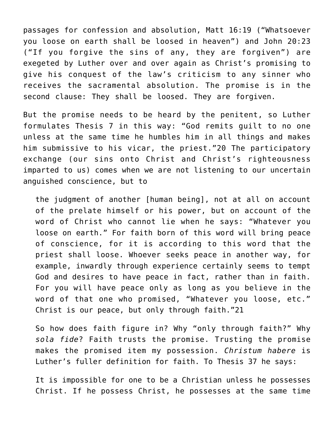passages for confession and absolution, Matt 16:19 ("Whatsoever you loose on earth shall be loosed in heaven") and John 20:23 ("If you forgive the sins of any, they are forgiven") are exegeted by Luther over and over again as Christ's promising to give his conquest of the law's criticism to any sinner who receives the sacramental absolution. The promise is in the second clause: They shall be loosed. They are forgiven.

But the promise needs to be heard by the penitent, so Luther formulates Thesis 7 in this way: "God remits guilt to no one unless at the same time he humbles him in all things and makes him submissive to his vicar, the priest."20 The participatory exchange (our sins onto Christ and Christ's righteousness imparted to us) comes when we are not listening to our uncertain anguished conscience, but to

the judgment of another [human being], not at all on account of the prelate himself or his power, but on account of the word of Christ who cannot lie when he says: "Whatever you loose on earth." For faith born of this word will bring peace of conscience, for it is according to this word that the priest shall loose. Whoever seeks peace in another way, for example, inwardly through experience certainly seems to tempt God and desires to have peace in fact, rather than in faith. For you will have peace only as long as you believe in the word of that one who promised, "Whatever you loose, etc." Christ is our peace, but only through faith."21

So how does faith figure in? Why "only through faith?" Why *sola fide*? Faith trusts the promise. Trusting the promise makes the promised item my possession. *Christum habere* is Luther's fuller definition for faith. To Thesis 37 he says:

It is impossible for one to be a Christian unless he possesses Christ. If he possess Christ, he possesses at the same time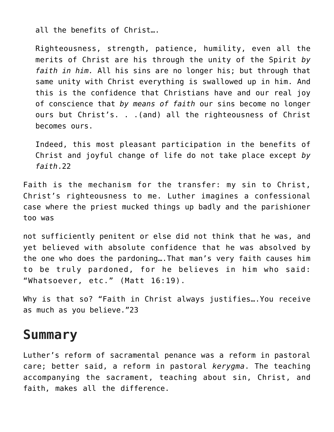all the benefits of Christ….

Righteousness, strength, patience, humility, even all the merits of Christ are his through the unity of the Spirit *by faith in him.* All his sins are no longer his; but through that same unity with Christ everything is swallowed up in him. And this is the confidence that Christians have and our real joy of conscience that *by means of faith* our sins become no longer ours but Christ's. . .(and) all the righteousness of Christ becomes ours.

Indeed, this most pleasant participation in the benefits of Christ and joyful change of life do not take place except *by faith*.22

Faith is the mechanism for the transfer: my sin to Christ, Christ's righteousness to me. Luther imagines a confessional case where the priest mucked things up badly and the parishioner too was

not sufficiently penitent or else did not think that he was, and yet believed with absolute confidence that he was absolved by the one who does the pardoning….That man's very faith causes him to be truly pardoned, for he believes in him who said: "Whatsoever, etc." (Matt 16:19).

Why is that so? "Faith in Christ always justifies….You receive as much as you believe."23

### **Summary**

Luther's reform of sacramental penance was a reform in pastoral care; better said, a reform in pastoral *kerygma*. The teaching accompanying the sacrament, teaching about sin, Christ, and faith, makes all the difference.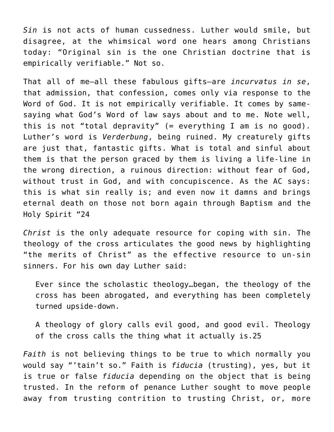*Sin* is not acts of human cussedness. Luther would smile, but disagree, at the whimsical word one hears among Christians today: "Original sin is the one Christian doctrine that is empirically verifiable." Not so.

That all of me–all these fabulous gifts–are *incurvatus in se*, that admission, that confession, comes only via response to the Word of God. It is not empirically verifiable. It comes by samesaying what God's Word of law says about and to me. Note well, this is not "total depravity" (= everything I am is no good). Luther's word is *Verderbung*, being ruined. My creaturely gifts are just that, fantastic gifts. What is total and sinful about them is that the person graced by them is living a life-line in the wrong direction, a ruinous direction: without fear of God, without trust in God, and with concupiscence. As the AC says: this is what sin really is; and even now it damns and brings eternal death on those not born again through Baptism and the Holy Spirit "24

*Christ* is the only adequate resource for coping with sin. The theology of the cross articulates the good news by highlighting "the merits of Christ" as the effective resource to un-sin sinners. For his own day Luther said:

Ever since the scholastic theology…began, the theology of the cross has been abrogated, and everything has been completely turned upside-down.

A theology of glory calls evil good, and good evil. Theology of the cross calls the thing what it actually is.25

*Faith* is not believing things to be true to which normally you would say "'tain't so." Faith is *fiducia* (trusting), yes, but it is true or false *fiducia* depending on the object that is being trusted. In the reform of penance Luther sought to move people away from trusting contrition to trusting Christ, or, more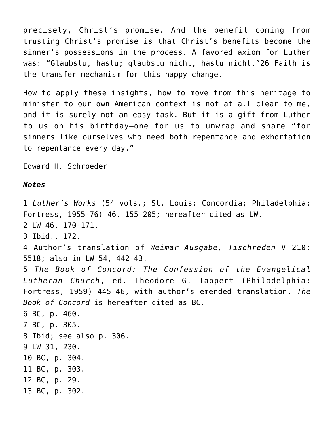precisely, Christ's promise. And the benefit coming from trusting Christ's promise is that Christ's benefits become the sinner's possessions in the process. A favored axiom for Luther was: "Glaubstu, hastu; glaubstu nicht, hastu nicht."26 Faith is the transfer mechanism for this happy change.

How to apply these insights, how to move from this heritage to minister to our own American context is not at all clear to me, and it is surely not an easy task. But it is a gift from Luther to us on his birthday—one for us to unwrap and share "for sinners like ourselves who need both repentance and exhortation to repentance every day."

Edward H. Schroeder

#### *Notes*

1 *Luther's Works* (54 vols.; St. Louis: Concordia; Philadelphia: Fortress, 1955-76) 46. 155-205; hereafter cited as LW. 2 LW 46, 170-171. 3 Ibid., 172. 4 Author's translation of *Weimar Ausgabe, Tischreden* V 210: 5518; also in LW 54, 442-43. 5 *The Book of Concord: The Confession of the Evangelical Lutheran Church*, ed. Theodore G. Tappert (Philadelphia: Fortress, 1959) 445-46, with author's emended translation. *The Book of Concord* is hereafter cited as BC. 6 BC, p. 460. 7 BC, p. 305. 8 Ibid; see also p. 306. 9 LW 31, 230. 10 BC, p. 304. 11 BC, p. 303. 12 BC, p. 29. 13 BC, p. 302.